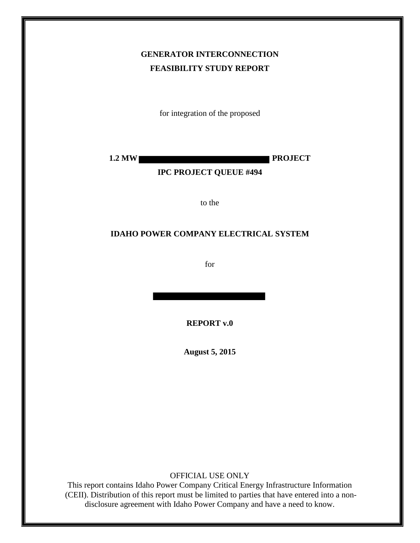# **GENERATOR INTERCONNECTION FEASIBILITY STUDY REPORT**

for integration of the proposed

**1.2 MW PROJECT** 

### **IPC PROJECT QUEUE #494**

to the

#### **IDAHO POWER COMPANY ELECTRICAL SYSTEM**

for

**REPORT v.0** 

**August 5, 2015**

OFFICIAL USE ONLY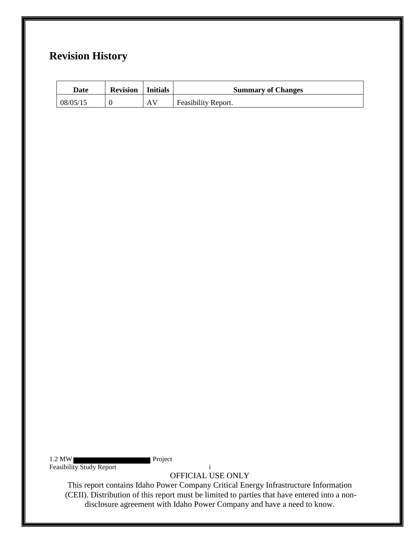# **Revision History**

| <b>Date</b> | <b>Revision</b> | Initials | <b>Summary of Changes</b> |
|-------------|-----------------|----------|---------------------------|
| 08/05/15    |                 | AV       | Feasibility Report.       |

1.2 MW Project Feasibility Study Report in the study of the study of the study Report in the study Report in the study Report in the study Report in the study Report in the study Report in the study Report in the study Report in the stud

OFFICIAL USE ONLY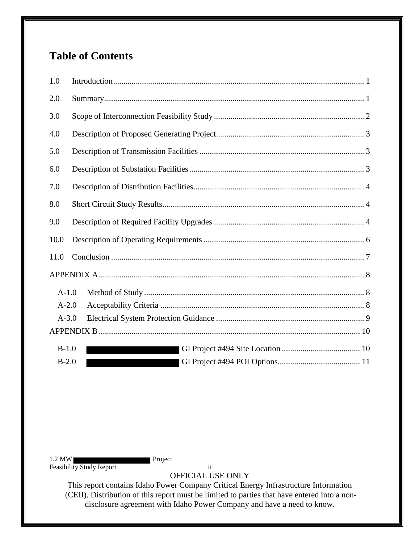# **Table of Contents**

| 1.0     |  |
|---------|--|
| 2.0     |  |
| 3.0     |  |
| 4.0     |  |
| 5.0     |  |
| 6.0     |  |
| 7.0     |  |
| 8.0     |  |
| 9.0     |  |
| 10.0    |  |
| 11.0    |  |
|         |  |
| $A-1.0$ |  |
| $A-2.0$ |  |
| $A-3.0$ |  |
|         |  |
| $B-1.0$ |  |
| $B-2.0$ |  |

1.2 MW Project Feasibility Study Report ii

OFFICIAL USE ONLY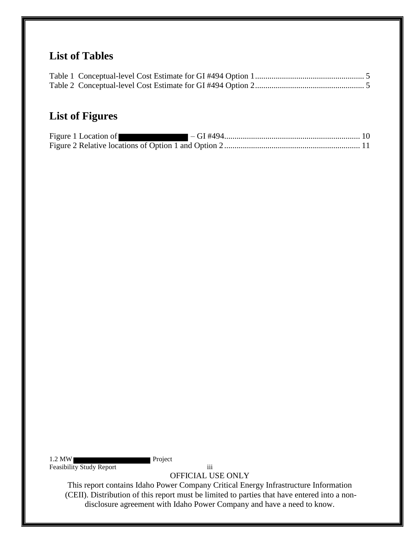# **List of Tables**

# **List of Figures**

| Figure 1 Location of |  |
|----------------------|--|
|                      |  |

1.2 MW Feasibility Study Report iii

OFFICIAL USE ONLY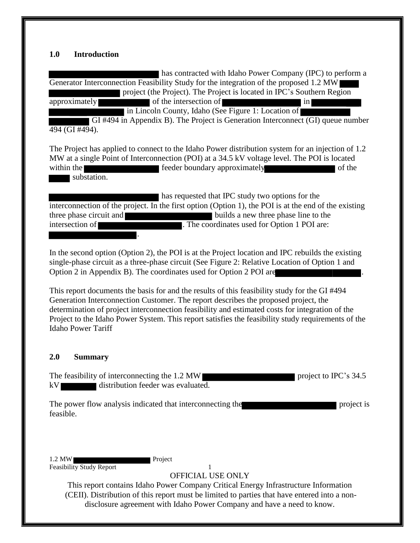### <span id="page-4-0"></span>**1.0 Introduction**

 has contracted with Idaho Power Company (IPC) to perform a Generator Interconnection Feasibility Study for the integration of the proposed 1.2 MW project (the Project). The Project is located in IPC's Southern Region approximately of the intersection of in

in Lincoln County, Idaho (See Figure 1: Location of

GI #494 in Appendix B). The Project is Generation Interconnect (GI) queue number 494 (GI #494).

The Project has applied to connect to the Idaho Power distribution system for an injection of 1.2 MW at a single Point of Interconnection (POI) at a 34.5 kV voltage level. The POI is located within the feeder boundary approximately of the set of the set of the set of the set of the set of the set of the set of the set of the set of the set of the set of the set of the set of the set of the set of the set of th substation.

 has requested that IPC study two options for the interconnection of the project. In the first option (Option 1), the POI is at the end of the existing three phase circuit and builds a new three phase line to the intersection of **The coordinates used for Option 1 POI are:** .

In the second option (Option 2), the POI is at the Project location and IPC rebuilds the existing single-phase circuit as a three-phase circuit (See Figure 2: Relative Location of Option 1 and Option 2 in Appendix B). The coordinates used for Option 2 POI are .

This report documents the basis for and the results of this feasibility study for the GI #494 Generation Interconnection Customer. The report describes the proposed project, the determination of project interconnection feasibility and estimated costs for integration of the Project to the Idaho Power System. This report satisfies the feasibility study requirements of the Idaho Power Tariff

#### <span id="page-4-1"></span>**2.0 Summary**

The feasibility of interconnecting the 1.2 MW kV distribution feeder was evaluated.

The power flow analysis indicated that interconnecting the project is feasible.

1.2 MW Project Feasibility Study Report 1

OFFICIAL USE ONLY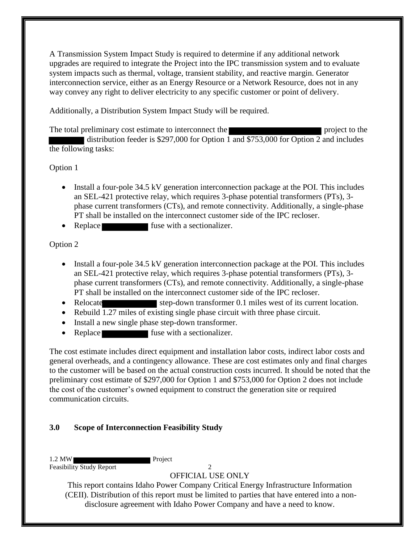A Transmission System Impact Study is required to determine if any additional network upgrades are required to integrate the Project into the IPC transmission system and to evaluate system impacts such as thermal, voltage, transient stability, and reactive margin. Generator interconnection service, either as an Energy Resource or a Network Resource, does not in any way convey any right to deliver electricity to any specific customer or point of delivery.

Additionally, a Distribution System Impact Study will be required.

The total preliminary cost estimate to interconnect the project to the project to the distribution feeder is \$297,000 for Option  $\overline{1}$  and \$753,000 for Option  $\overline{2}$  and includes the following tasks:

Option 1

- Install a four-pole 34.5 kV generation interconnection package at the POI. This includes an SEL-421 protective relay, which requires 3-phase potential transformers (PTs), 3 phase current transformers (CTs), and remote connectivity. Additionally, a single-phase PT shall be installed on the interconnect customer side of the IPC recloser.
- Replace fuse with a sectionalizer.

Option 2

- Install a four-pole 34.5 kV generation interconnection package at the POI. This includes an SEL-421 protective relay, which requires 3-phase potential transformers (PTs), 3 phase current transformers (CTs), and remote connectivity. Additionally, a single-phase PT shall be installed on the interconnect customer side of the IPC recloser.
- Relocate step-down transformer 0.1 miles west of its current location.
- Rebuild 1.27 miles of existing single phase circuit with three phase circuit.
- Install a new single phase step-down transformer.
- Replace fuse with a sectionalizer.

The cost estimate includes direct equipment and installation labor costs, indirect labor costs and general overheads, and a contingency allowance. These are cost estimates only and final charges to the customer will be based on the actual construction costs incurred. It should be noted that the preliminary cost estimate of \$297,000 for Option 1 and \$753,000 for Option 2 does not include the cost of the customer's owned equipment to construct the generation site or required communication circuits.

## <span id="page-5-0"></span>**3.0 Scope of Interconnection Feasibility Study**

1.2 MW Project Feasibility Study Report 2

OFFICIAL USE ONLY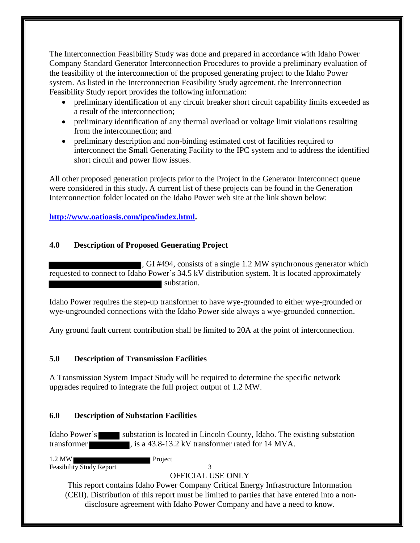The Interconnection Feasibility Study was done and prepared in accordance with Idaho Power Company Standard Generator Interconnection Procedures to provide a preliminary evaluation of the feasibility of the interconnection of the proposed generating project to the Idaho Power system. As listed in the Interconnection Feasibility Study agreement, the Interconnection Feasibility Study report provides the following information:

- preliminary identification of any circuit breaker short circuit capability limits exceeded as a result of the interconnection;
- preliminary identification of any thermal overload or voltage limit violations resulting from the interconnection; and
- preliminary description and non-binding estimated cost of facilities required to interconnect the Small Generating Facility to the IPC system and to address the identified short circuit and power flow issues.

All other proposed generation projects prior to the Project in the Generator Interconnect queue were considered in this study**.** A current list of these projects can be found in the Generation Interconnection folder located on the Idaho Power web site at the link shown below:

## **[http://www.oatioasis.com/ipco/index.html.](http://www.oatioasis.com/ipco/index.html)**

## <span id="page-6-0"></span>**4.0 Description of Proposed Generating Project**

, GI #494, consists of a single 1.2 MW synchronous generator which requested to connect to Idaho Power's 34.5 kV distribution system. It is located approximately substation.

Idaho Power requires the step-up transformer to have wye-grounded to either wye-grounded or wye-ungrounded connections with the Idaho Power side always a wye-grounded connection.

Any ground fault current contribution shall be limited to 20A at the point of interconnection.

## <span id="page-6-1"></span>**5.0 Description of Transmission Facilities**

A Transmission System Impact Study will be required to determine the specific network upgrades required to integrate the full project output of 1.2 MW.

## <span id="page-6-2"></span>**6.0 Description of Substation Facilities**

Idaho Power's substation is located in Lincoln County, Idaho. The existing substation transformer , is a 43.8-13.2 kV transformer rated for 14 MVA.

1.2 MW Feasibility Study Report 3

## OFFICIAL USE ONLY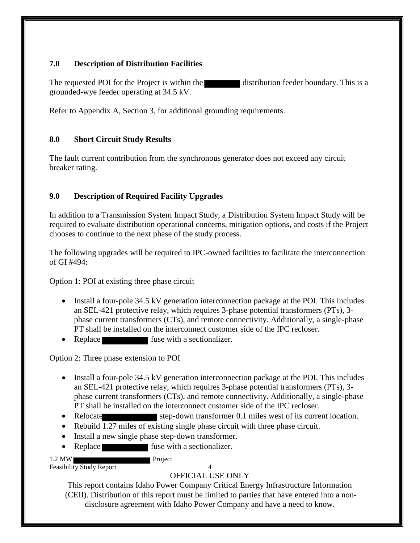## <span id="page-7-0"></span>**7.0 Description of Distribution Facilities**

The requested POI for the Project is within the distribution feeder boundary. This is a grounded-wye feeder operating at 34.5 kV.

Refer to Appendix A, Section 3, for additional grounding requirements.

## <span id="page-7-1"></span>**8.0 Short Circuit Study Results**

The fault current contribution from the synchronous generator does not exceed any circuit breaker rating.

## <span id="page-7-2"></span>**9.0 Description of Required Facility Upgrades**

In addition to a Transmission System Impact Study, a Distribution System Impact Study will be required to evaluate distribution operational concerns, mitigation options, and costs if the Project chooses to continue to the next phase of the study process.

The following upgrades will be required to IPC-owned facilities to facilitate the interconnection of GI  $#494$ :

Option 1: POI at existing three phase circuit

- Install a four-pole 34.5 kV generation interconnection package at the POI. This includes an SEL-421 protective relay, which requires 3-phase potential transformers (PTs), 3 phase current transformers (CTs), and remote connectivity. Additionally, a single-phase PT shall be installed on the interconnect customer side of the IPC recloser.
- Replace fuse with a sectionalizer.

Option 2: Three phase extension to POI

- Install a four-pole 34.5 kV generation interconnection package at the POI. This includes an SEL-421 protective relay, which requires 3-phase potential transformers (PTs), 3 phase current transformers (CTs), and remote connectivity. Additionally, a single-phase PT shall be installed on the interconnect customer side of the IPC recloser.
- Relocate step-down transformer 0.1 miles west of its current location.
- Rebuild 1.27 miles of existing single phase circuit with three phase circuit.
- Install a new single phase step-down transformer.
- Replace fuse with a sectionalizer.

1.2 MW Project

#### Feasibility Study Report 4 OFFICIAL USE ONLY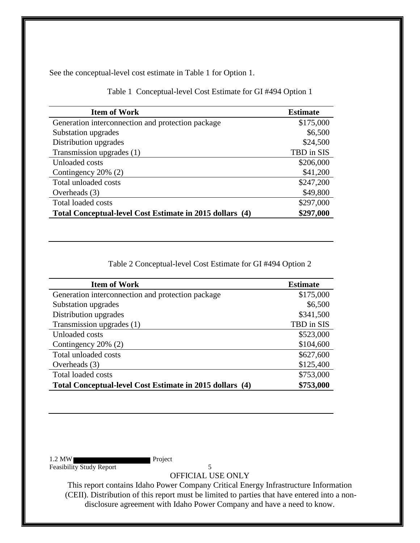See the conceptual-level cost estimate in Table 1 for Option 1.

<span id="page-8-0"></span>

| <b>Item of Work</b>                                      | <b>Estimate</b> |
|----------------------------------------------------------|-----------------|
| Generation interconnection and protection package        | \$175,000       |
| Substation upgrades                                      | \$6,500         |
| Distribution upgrades                                    | \$24,500        |
| Transmission upgrades (1)                                | TBD in SIS      |
| Unloaded costs                                           | \$206,000       |
| Contingency 20% (2)                                      | \$41,200        |
| Total unloaded costs                                     | \$247,200       |
| Overheads $(3)$                                          | \$49,800        |
| Total loaded costs                                       | \$297,000       |
| Total Conceptual-level Cost Estimate in 2015 dollars (4) | \$297,000       |

Table 1 Conceptual-level Cost Estimate for GI #494 Option 1

Table 2 Conceptual-level Cost Estimate for GI #494 Option 2

<span id="page-8-1"></span>

| <b>Item of Work</b>                                      | <b>Estimate</b> |
|----------------------------------------------------------|-----------------|
| Generation interconnection and protection package        | \$175,000       |
| Substation upgrades                                      | \$6,500         |
| Distribution upgrades                                    | \$341,500       |
| Transmission upgrades (1)                                | TBD in SIS      |
| Unloaded costs                                           | \$523,000       |
| Contingency 20% (2)                                      | \$104,600       |
| Total unloaded costs                                     | \$627,600       |
| Overheads $(3)$                                          | \$125,400       |
| <b>Total loaded costs</b>                                | \$753,000       |
| Total Conceptual-level Cost Estimate in 2015 dollars (4) | \$753,000       |

1.2 MW Feasibility Study Report 5

OFFICIAL USE ONLY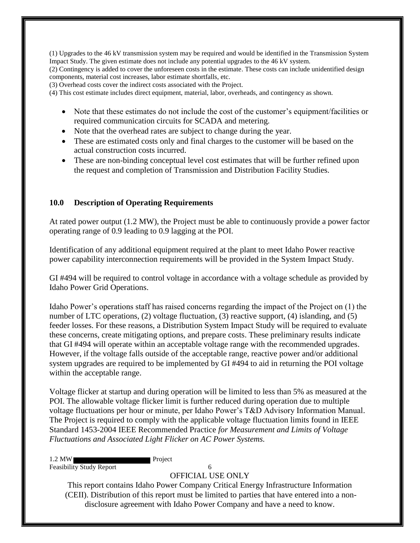(1) Upgrades to the 46 kV transmission system may be required and would be identified in the Transmission System Impact Study. The given estimate does not include any potential upgrades to the 46 kV system.

(2) Contingency is added to cover the unforeseen costs in the estimate. These costs can include unidentified design components, material cost increases, labor estimate shortfalls, etc.

(3) Overhead costs cover the indirect costs associated with the Project.

(4) This cost estimate includes direct equipment, material, labor, overheads, and contingency as shown.

- Note that these estimates do not include the cost of the customer's equipment/facilities or required communication circuits for SCADA and metering.
- Note that the overhead rates are subject to change during the year.
- These are estimated costs only and final charges to the customer will be based on the actual construction costs incurred.
- These are non-binding conceptual level cost estimates that will be further refined upon the request and completion of Transmission and Distribution Facility Studies.

#### <span id="page-9-0"></span>**10.0 Description of Operating Requirements**

At rated power output (1.2 MW), the Project must be able to continuously provide a power factor operating range of 0.9 leading to 0.9 lagging at the POI.

Identification of any additional equipment required at the plant to meet Idaho Power reactive power capability interconnection requirements will be provided in the System Impact Study.

GI #494 will be required to control voltage in accordance with a voltage schedule as provided by Idaho Power Grid Operations.

Idaho Power's operations staff has raised concerns regarding the impact of the Project on (1) the number of LTC operations, (2) voltage fluctuation, (3) reactive support, (4) islanding, and (5) feeder losses. For these reasons, a Distribution System Impact Study will be required to evaluate these concerns, create mitigating options, and prepare costs. These preliminary results indicate that GI #494 will operate within an acceptable voltage range with the recommended upgrades. However, if the voltage falls outside of the acceptable range, reactive power and/or additional system upgrades are required to be implemented by GI #494 to aid in returning the POI voltage within the acceptable range.

Voltage flicker at startup and during operation will be limited to less than 5% as measured at the POI. The allowable voltage flicker limit is further reduced during operation due to multiple voltage fluctuations per hour or minute, per Idaho Power's T&D Advisory Information Manual. The Project is required to comply with the applicable voltage fluctuation limits found in IEEE Standard 1453-2004 IEEE Recommended Practice *for Measurement and Limits of Voltage Fluctuations and Associated Light Flicker on AC Power Systems.* 

1.2 MW Project Feasibility Study Report 6

#### OFFICIAL USE ONLY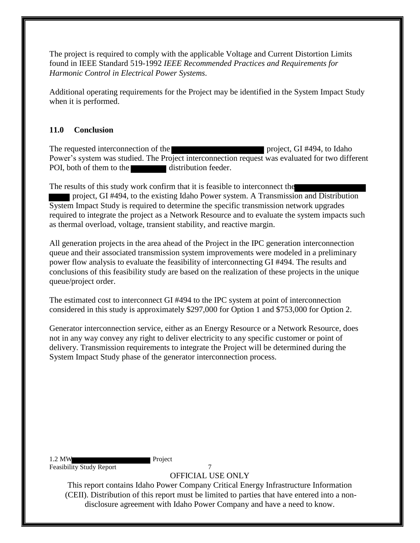The project is required to comply with the applicable Voltage and Current Distortion Limits found in IEEE Standard 519-1992 *IEEE Recommended Practices and Requirements for Harmonic Control in Electrical Power Systems*.

Additional operating requirements for the Project may be identified in the System Impact Study when it is performed.

## <span id="page-10-0"></span>**11.0 Conclusion**

The requested interconnection of the project, GI #494, to Idaho Power's system was studied. The Project interconnection request was evaluated for two different POI, both of them to the distribution feeder.

The results of this study work confirm that it is feasible to interconnect the project, GI #494, to the existing Idaho Power system. A Transmission and Distribution System Impact Study is required to determine the specific transmission network upgrades required to integrate the project as a Network Resource and to evaluate the system impacts such as thermal overload, voltage, transient stability, and reactive margin.

All generation projects in the area ahead of the Project in the IPC generation interconnection queue and their associated transmission system improvements were modeled in a preliminary power flow analysis to evaluate the feasibility of interconnecting GI #494. The results and conclusions of this feasibility study are based on the realization of these projects in the unique queue/project order.

The estimated cost to interconnect GI #494 to the IPC system at point of interconnection considered in this study is approximately \$297,000 for Option 1 and \$753,000 for Option 2.

Generator interconnection service, either as an Energy Resource or a Network Resource, does not in any way convey any right to deliver electricity to any specific customer or point of delivery. Transmission requirements to integrate the Project will be determined during the System Impact Study phase of the generator interconnection process.

1.2 MW Project Feasibility Study Report 7

OFFICIAL USE ONLY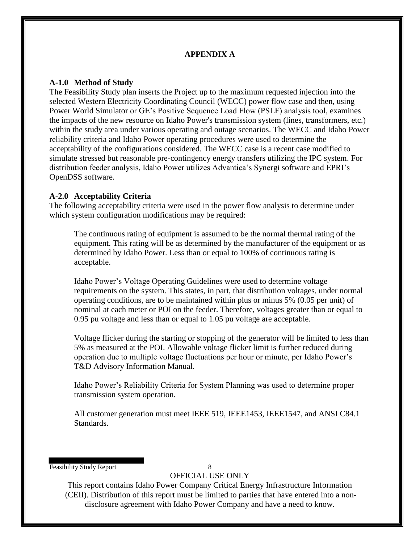## **APPENDIX A**

### <span id="page-11-1"></span><span id="page-11-0"></span>**A-1.0 Method of Study**

The Feasibility Study plan inserts the Project up to the maximum requested injection into the selected Western Electricity Coordinating Council (WECC) power flow case and then, using Power World Simulator or GE's Positive Sequence Load Flow (PSLF) analysis tool, examines the impacts of the new resource on Idaho Power's transmission system (lines, transformers, etc.) within the study area under various operating and outage scenarios. The WECC and Idaho Power reliability criteria and Idaho Power operating procedures were used to determine the acceptability of the configurations considered. The WECC case is a recent case modified to simulate stressed but reasonable pre-contingency energy transfers utilizing the IPC system. For distribution feeder analysis, Idaho Power utilizes Advantica's Synergi software and EPRI's OpenDSS software.

### <span id="page-11-2"></span>**A-2.0 Acceptability Criteria**

The following acceptability criteria were used in the power flow analysis to determine under which system configuration modifications may be required:

The continuous rating of equipment is assumed to be the normal thermal rating of the equipment. This rating will be as determined by the manufacturer of the equipment or as determined by Idaho Power. Less than or equal to 100% of continuous rating is acceptable.

Idaho Power's Voltage Operating Guidelines were used to determine voltage requirements on the system. This states, in part, that distribution voltages, under normal operating conditions, are to be maintained within plus or minus 5% (0.05 per unit) of nominal at each meter or POI on the feeder. Therefore, voltages greater than or equal to 0.95 pu voltage and less than or equal to 1.05 pu voltage are acceptable.

Voltage flicker during the starting or stopping of the generator will be limited to less than 5% as measured at the POI. Allowable voltage flicker limit is further reduced during operation due to multiple voltage fluctuations per hour or minute, per Idaho Power's T&D Advisory Information Manual.

Idaho Power's Reliability Criteria for System Planning was used to determine proper transmission system operation.

All customer generation must meet IEEE 519, IEEE1453, IEEE1547, and ANSI C84.1 Standards.

Feasibility Study Report 8

OFFICIAL USE ONLY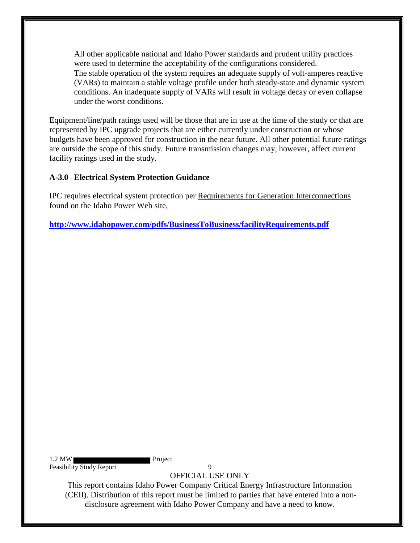All other applicable national and Idaho Power standards and prudent utility practices were used to determine the acceptability of the configurations considered. The stable operation of the system requires an adequate supply of volt-amperes reactive (VARs) to maintain a stable voltage profile under both steady-state and dynamic system conditions. An inadequate supply of VARs will result in voltage decay or even collapse under the worst conditions.

Equipment/line/path ratings used will be those that are in use at the time of the study or that are represented by IPC upgrade projects that are either currently under construction or whose budgets have been approved for construction in the near future. All other potential future ratings are outside the scope of this study. Future transmission changes may, however, affect current facility ratings used in the study.

## <span id="page-12-0"></span>**A-3.0 Electrical System Protection Guidance**

IPC requires electrical system protection per Requirements for Generation Interconnections found on the Idaho Power Web site,

**<http://www.idahopower.com/pdfs/BusinessToBusiness/facilityRequirements.pdf>**

1.2 MW Project Feasibility Study Report 9

OFFICIAL USE ONLY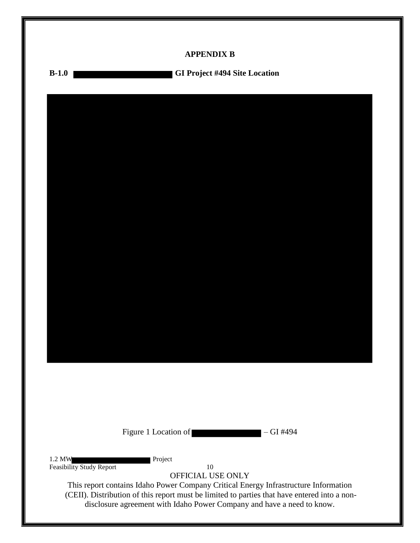<span id="page-13-0"></span>

|                          | <b>APPENDIX B</b>                                                                                                                                                                                                                                             |  |
|--------------------------|---------------------------------------------------------------------------------------------------------------------------------------------------------------------------------------------------------------------------------------------------------------|--|
| $B-1.0$                  | GI Project #494 Site Location                                                                                                                                                                                                                                 |  |
|                          |                                                                                                                                                                                                                                                               |  |
|                          |                                                                                                                                                                                                                                                               |  |
|                          |                                                                                                                                                                                                                                                               |  |
|                          |                                                                                                                                                                                                                                                               |  |
|                          |                                                                                                                                                                                                                                                               |  |
|                          |                                                                                                                                                                                                                                                               |  |
|                          |                                                                                                                                                                                                                                                               |  |
|                          |                                                                                                                                                                                                                                                               |  |
|                          |                                                                                                                                                                                                                                                               |  |
|                          |                                                                                                                                                                                                                                                               |  |
|                          |                                                                                                                                                                                                                                                               |  |
|                          |                                                                                                                                                                                                                                                               |  |
|                          |                                                                                                                                                                                                                                                               |  |
|                          |                                                                                                                                                                                                                                                               |  |
|                          |                                                                                                                                                                                                                                                               |  |
|                          |                                                                                                                                                                                                                                                               |  |
|                          | Figure 1 Location of<br>$-GI$ #494                                                                                                                                                                                                                            |  |
| 1.2 MW                   | Project                                                                                                                                                                                                                                                       |  |
| Feasibility Study Report | 10<br>OFFICIAL USE ONLY                                                                                                                                                                                                                                       |  |
|                          | This report contains Idaho Power Company Critical Energy Infrastructure Information<br>(CEII). Distribution of this report must be limited to parties that have entered into a non-<br>disclosure agreement with Idaho Power Company and have a need to know. |  |